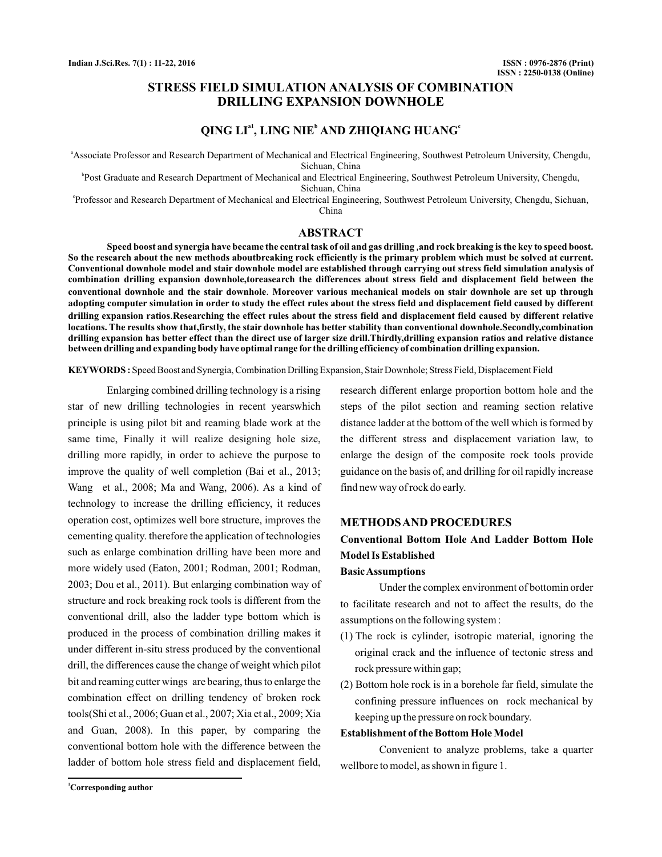## **STRESS FIELD SIMULATION ANALYSIS OF COMBINATION DRILLING EXPANSION DOWNHOLE**

## $QING LI<sup>a1</sup>, LING NIE<sup>b</sup> AND ZHIQIANG HUANG<sup>c</sup>$

a Associate Professor and Research Department of Mechanical and Electrical Engineering, Southwest Petroleum University, Chengdu, Sichuan, China

b Post Graduate and Research Department of Mechanical and Electrical Engineering, Southwest Petroleum University, Chengdu, Sichuan, China

c Professor and Research Department of Mechanical and Electrical Engineering, Southwest Petroleum University, Chengdu, Sichuan, China

### **ABSTRACT**

Speed boost and synergia have became the central task of oil and gas drilling ,and rock breaking is the key to speed boost. **So the research about the new methods aboutbreaking rock efficiently is the primary problem which must be solved at current. Conventional downhole model and stair downhole model are established through carrying out stress field simulation analysis of combination drilling expansion downhole,toreasearch the differences about stress field and displacement field between the** conventional downhole and the stair downhole. Moreover various mechanical models on stair downhole are set up through **adopting computer simulation in order to study the effect rules about the stress field and displacement field caused by different drilling expansion ratios Researching the effect rules about the stress field and displacement field caused by different relative** . **locations. The results show that,firstly, the stair downhole has better stability than conventional downhole.Secondly,combination drilling expansion has better effect than the direct use of larger size drill.Thirdly,drilling expansion ratios and relative distance between drilling and expanding body have optimal range for the drilling efficiency of combination drilling expansion.**

KEYWORDS: Speed Boost and Synergia, Combination Drilling Expansion, Stair Downhole; Stress Field, Displacement Field

Enlarging combined drilling technology is a rising star of new drilling technologies in recent yearswhich principle is using pilot bit and reaming blade work at the same time, Finally it will realize designing hole size, drilling more rapidly, in order to achieve the purpose to improve the quality of well completion (Bai et al., 2013; Wang et al., 2008; Ma and Wang, 2006). As a kind of technology to increase the drilling efficiency, it reduces operation cost, optimizes well bore structure, improves the cementing quality. therefore the application of technologies such as enlarge combination drilling have been more and more widely used (Eaton, 2001; Rodman, 2001; Rodman, 2003; Dou et al., 2011). But enlarging combination way of structure and rock breaking rock tools is different from the conventional drill, also the ladder type bottom which is produced in the process of combination drilling makes it under different in-situ stress produced by the conventional drill, the differences cause the change of weight which pilot bit and reaming cutter wings are bearing, thus to enlarge the combination effect on drilling tendency of broken rock tools(Shi et al., 2006; Guan et al., 2007; Xia et al., 2009; Xia and Guan, 2008). In this paper, by comparing the conventional bottom hole with the difference between the ladder of bottom hole stress field and displacement field,

research different enlarge proportion bottom hole and the steps of the pilot section and reaming section relative distance ladder at the bottom of the well which is formed by the different stress and displacement variation law, to enlarge the design of the composite rock tools provide guidance on the basis of, and drilling for oil rapidly increase find new way of rock do early.

#### **METHODSAND PROCEDURES**

# **Conventional Bottom Hole And Ladder Bottom Hole Model Is Established**

#### **BasicAssumptions**

Under the complex environment of bottomin order to facilitate research and not to affect the results, do the assumptions on the following system :

- (1) The rock is cylinder, isotropic material, ignoring the original crack and the influence of tectonic stress and rock pressure within gap;
- (2) Bottom hole rock is in a borehole far field, simulate the confining pressure influences on rock mechanical by keeping up the pressure on rock boundary.

#### **Establishment of the Bottom HoleModel**

Convenient to analyze problems, take a quarter wellbore to model, as shown in figure 1.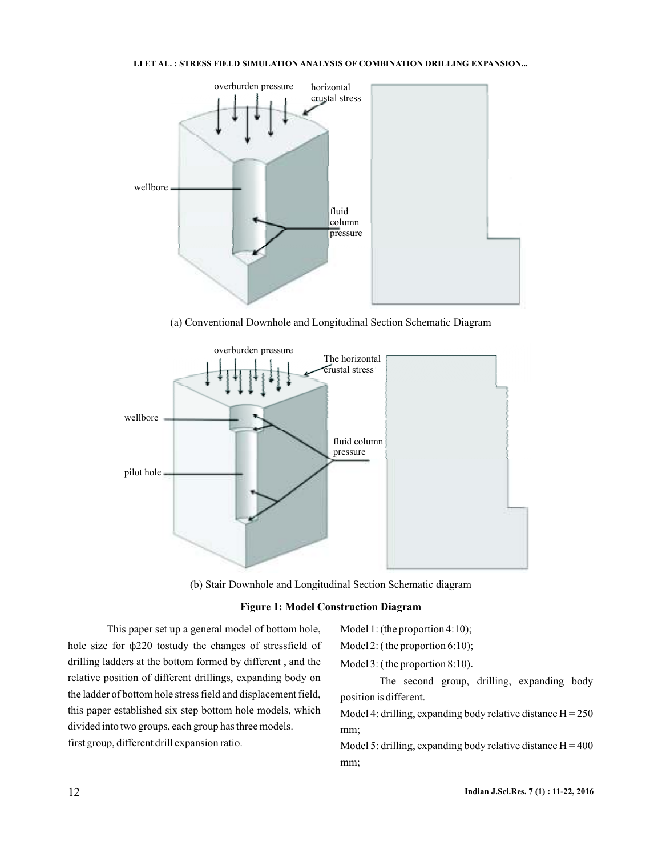

(a) Conventional Downhole and Longitudinal Section Schematic Diagram



(b) Stair Downhole and Longitudinal Section Schematic diagram

#### **Figure 1: Model Construction Diagram**

This paper set up a general model of bottom hole, hole size for  $\phi$ 220 tostudy the changes of stressfield of drilling ladders at the bottom formed by different , and the relative position of different drillings, expanding body on the ladder of bottom hole stress field and displacement field, this paper established six step bottom hole models, which divided into two groups, each group has three models. first group, different drill expansion ratio.

Model 1: (the proportion 4:10);

Model 2: ( the proportion 6:10);

Model 3: ( the proportion 8:10) .

The second group, drilling, expanding body position is different.

Model 4: drilling, expanding body relative distance  $H = 250$ mm;

Model 5: drilling, expanding body relative distance  $H = 400$ mm;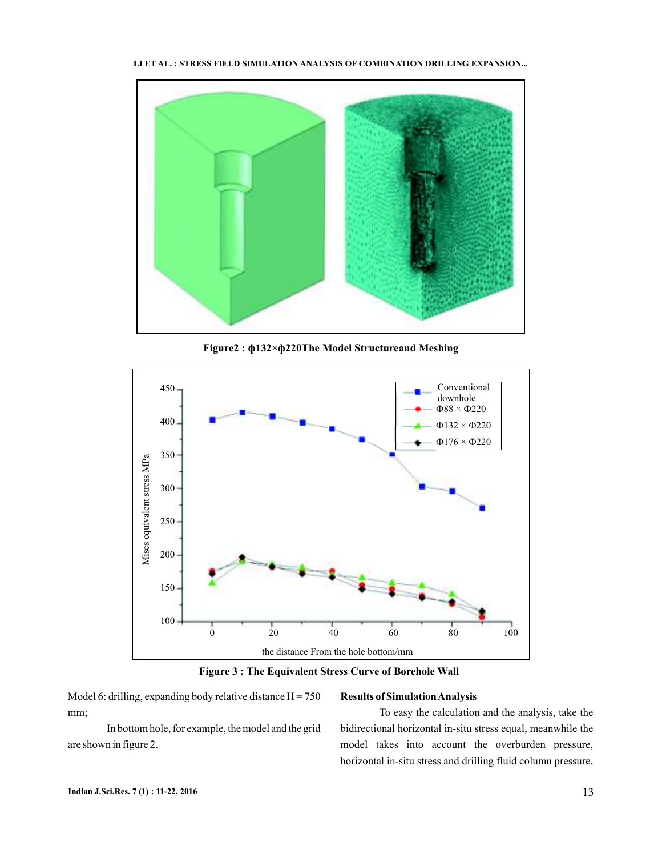

**Figure2 : ф132×ф220The Model Structureand Meshing**



**Figure 3 : The Equivalent Stress Curve of Borehole Wall**

Model 6: drilling, expanding body relative distance  $H = 750$ mm;

## **Results of SimulationAnalysis**

In bottom hole, for example, the model and the grid are shown in figure 2.

To easy the calculation and the analysis, take the bidirectional horizontal in-situ stress equal, meanwhile the model takes into account the overburden pressure, horizontal in-situ stress and drilling fluid column pressure,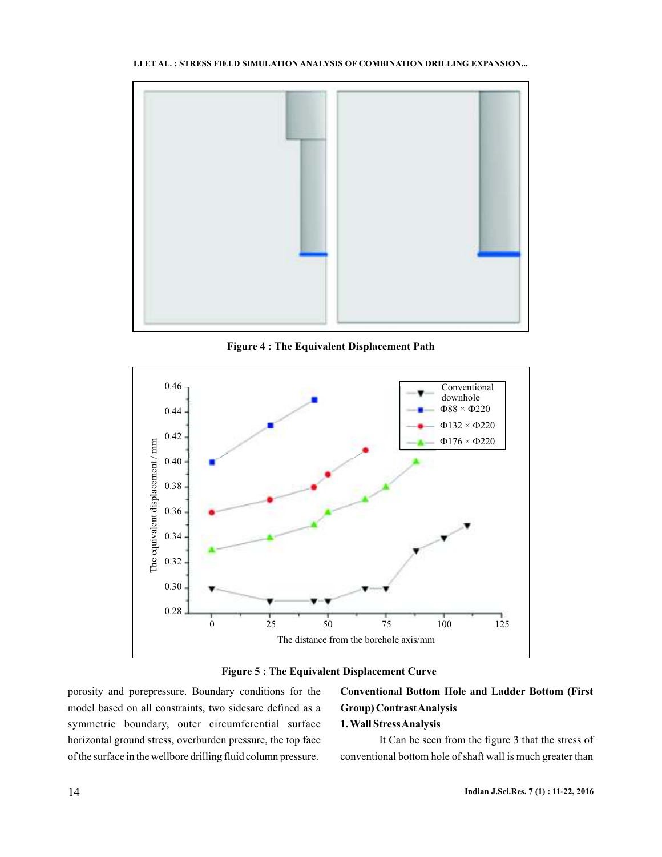

**Figure 4 : The Equivalent Displacement Path**





porosity and porepressure. Boundary conditions for the model based on all constraints, two sidesare defined as a symmetric boundary, outer circumferential surface horizontal ground stress, overburden pressure, the top face of the surface in the wellbore drilling fluid column pressure.

## **Conventional Bottom Hole and Ladder Bottom (First Group) ContrastAnalysis 1.Wall StressAnalysis**

It Can be seen from the figure 3 that the stress of conventional bottom hole of shaft wall is much greater than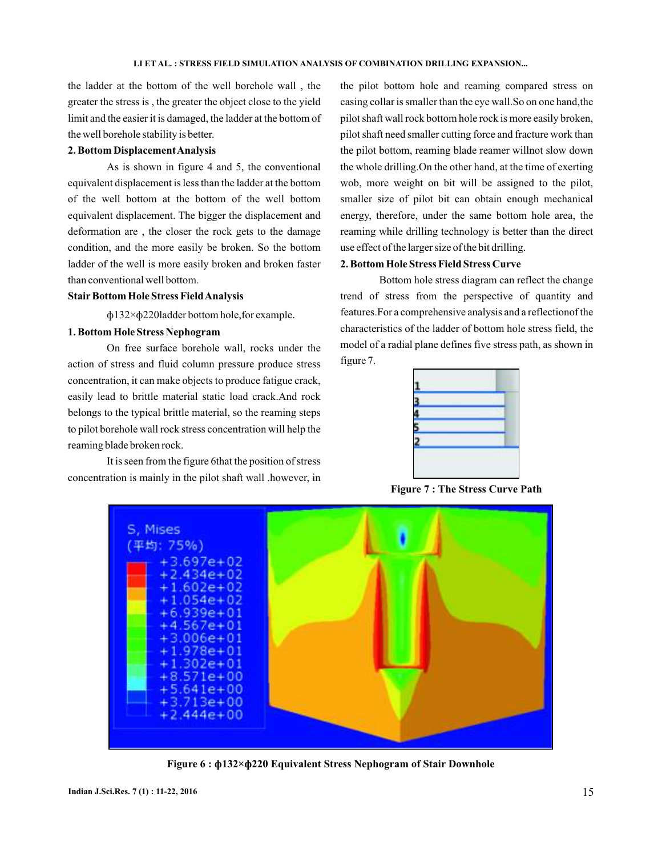the ladder at the bottom of the well borehole wall , the greater the stress is , the greater the object close to the yield limit and the easier it is damaged, the ladder at the bottom of the well borehole stability is better.

#### **2. Bottom DisplacementAnalysis**

As is shown in figure 4 and 5, the conventional equivalent displacement is less than the ladder at the bottom of the well bottom at the bottom of the well bottom equivalent displacement. The bigger the displacement and deformation are , the closer the rock gets to the damage condition, and the more easily be broken. So the bottom ladder of the well is more easily broken and broken faster than conventional well bottom.

#### **StairBottom Hole Stress FieldAnalysis**

× ф132 ф220ladder bottom hole,for example.

#### **1. Bottom Hole Stress Nephogram**

On free surface borehole wall, rocks under the action of stress and fluid column pressure produce stress concentration, it can make objects to produce fatigue crack, easily lead to brittle material static load crack.And rock belongs to the typical brittle material, so the reaming steps to pilot borehole wall rock stress concentration will help the reaming blade broken rock.

It is seen from the figure 6that the position of stress concentration is mainly in the pilot shaft wall .however, in the pilot bottom hole and reaming compared stress on casing collar is smaller than the eye wall.So on one hand,the pilot shaft wall rock bottom hole rock is more easily broken, pilot shaft need smaller cutting force and fracture work than the pilot bottom, reaming blade reamer willnot slow down the whole drilling.On the other hand, at the time of exerting wob, more weight on bit will be assigned to the pilot, smaller size of pilot bit can obtain enough mechanical energy, therefore, under the same bottom hole area, the reaming while drilling technology is better than the direct use effect of the larger size of the bit drilling.

#### **2. Bottom Hole Stress Field Stress Curve**

Bottom hole stress diagram can reflect the change trend of stress from the perspective of quantity and features.For a comprehensive analysis and a reflectionof the characteristics of the ladder of bottom hole stress field, the model of a radial plane defines five stress path, as shown in figure 7.



**Figure 7 : The Stress Curve Path**



**Figure 6 : φ132×φ220 Equivalent Stress Nephogram of Stair Downhole**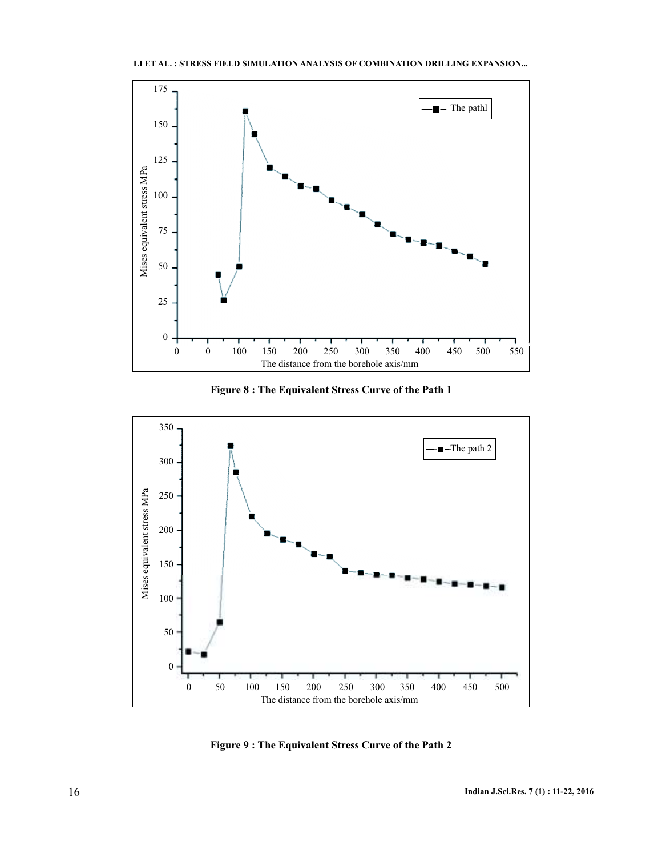





**Figure 9 : The Equivalent Stress Curve of the Path 2**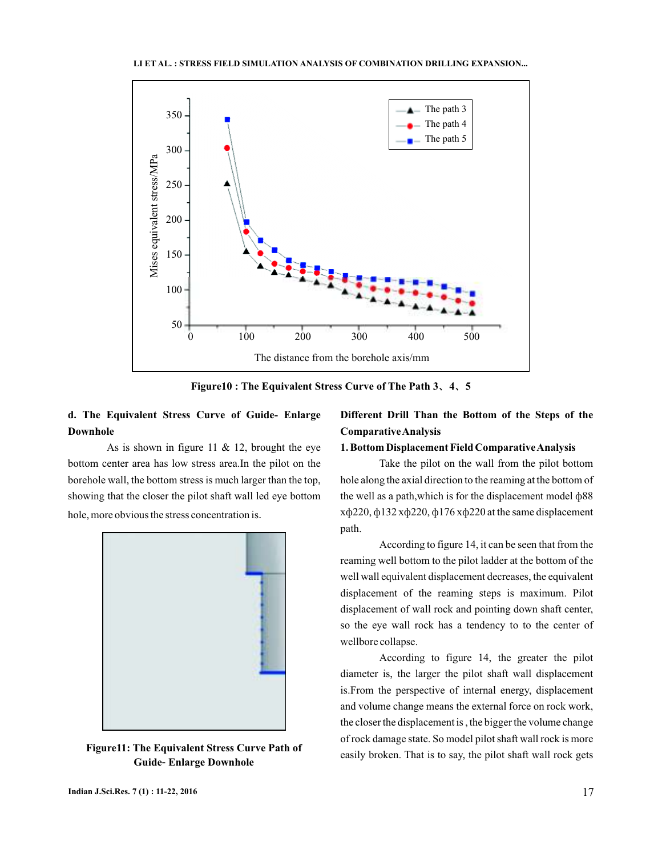

Figure10 : The Equivalent Stress Curve of The Path 3, 4, 5

## **d. The Equivalent Stress Curve of Guide- Enlarge Downhole**

As is shown in figure 11  $& 12$ , brought the eye bottom center area has low stress area.In the pilot on the borehole wall, the bottom stress is much larger than the top, showing that the closer the pilot shaft wall led eye bottom hole, more obvious the stress concentration is.



**Figure11: The Equivalent Stress Curve Path of Guide-Enlarge Downhole** 

## **Different Drill Than the Bottom of the Steps of the ComparativeAnalysis**

#### **1. Bottom Displacement Field ComparativeAnalysis**

Take the pilot on the wall from the pilot bottom hole along the axial direction to the reaming at the bottom of the well as a path,which is for the displacement model ф88 хф220, ф132 хф220, ф176 хф220 at the same displacement path.

According to figure 14, it can be seen that from the reaming well bottom to the pilot ladder at the bottom of the well wall equivalent displacement decreases, the equivalent displacement of the reaming steps is maximum. Pilot displacement of wall rock and pointing down shaft center, so the eye wall rock has a tendency to to the center of wellbore collapse.

According to figure 14, the greater the pilot diameter is, the larger the pilot shaft wall displacement is.From the perspective of internal energy, displacement and volume change means the external force on rock work, the closer the displacement is , the bigger the volume change of rock damage state. So model pilot shaft wall rock is more easily broken. That is to say, the pilot shaft wall rock gets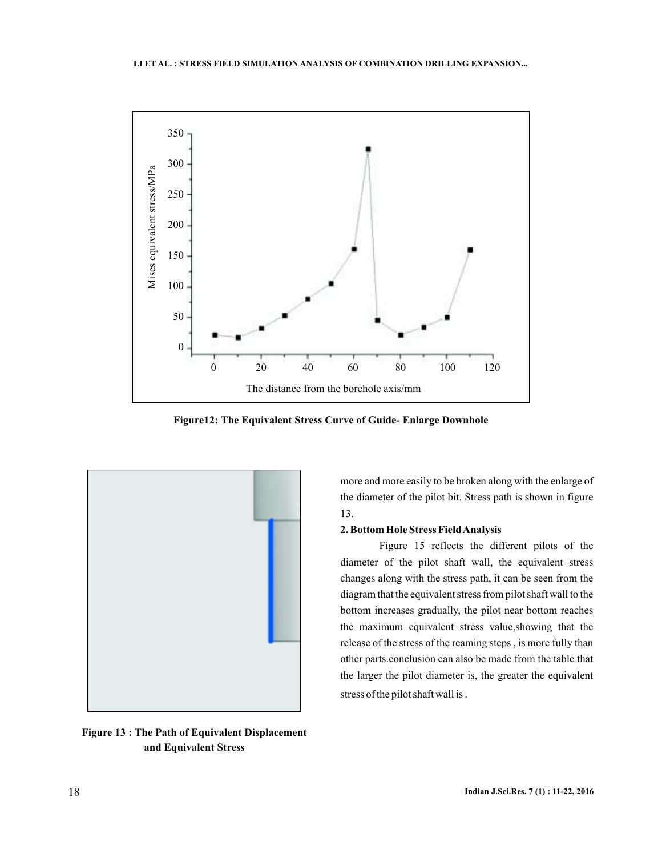

**Figure12: The Equivalent Stress Curve of Guide- Enlarge Downhole**



**Figure 13 : The Path of Equivalent Displacement and Equivalent Stress**

more and more easily to be broken along with the enlarge of the diameter of the pilot bit. Stress path is shown in figure 13.

#### **2. Bottom Hole Stress FieldAnalysis**

Figure 15 reflects the different pilots of the diameter of the pilot shaft wall, the equivalent stress changes along with the stress path, it can be seen from the diagram that the equivalent stress from pilot shaft wall to the bottom increases gradually, the pilot near bottom reaches the maximum equivalent stress value,showing that the release of the stress of the reaming steps , is more fully than other parts.conclusion can also be made from the table that the larger the pilot diameter is, the greater the equivalent stress of the pilot shaft wall is .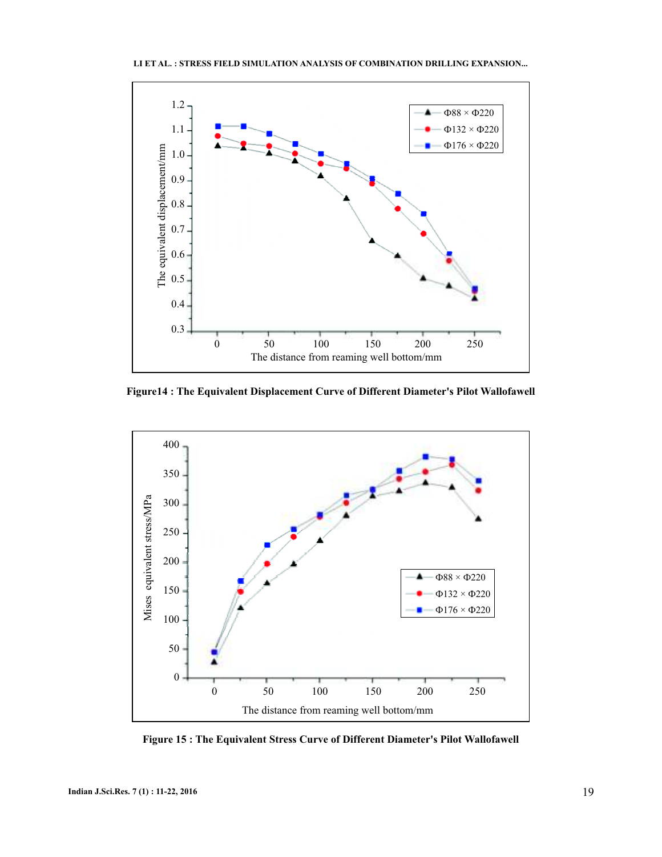

**Figure14 : The Equivalent Displacement Curve of Different Diameter's Pilot Wallofawell**



**Figure 15 : The Equivalent Stress Curve of Different Diameter's Pilot Wallofawell**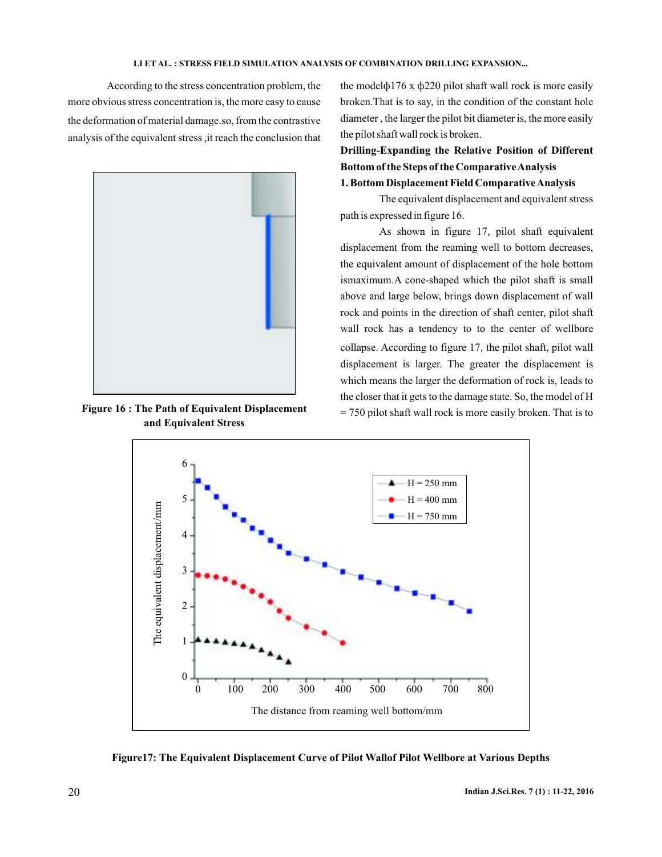According to the stress concentration problem, the more obvious stress concentration is, the more easy to cause the deformation of material damage so, from the contrastive . analysis of the equivalent stress ,it reach the conclusion that



**Figure 16 : The Path of Equivalent Displacement and Equivalent Stress**

the model $\phi$ 176 x  $\phi$ 220 pilot shaft wall rock is more easily broken.That is to say, in the condition of the constant hole diameter , the larger the pilot bit diameter is, the more easily the pilot shaft wall rock is broken.

**Drilling-Expanding the Relative Position of Different Bottom of the Steps of the ComparativeAnalysis 1. Bottom Displacement Field ComparativeAnalysis**

The equivalent displacement and equivalent stress path is expressed in figure 16.

As shown in figure 17, pilot shaft equivalent displacement from the reaming well to bottom decreases, the equivalent amount of displacement of the hole bottom ismaximum.A cone-shaped which the pilot shaft is small above and large below, brings down displacement of wall rock and points in the direction of shaft center, pilot shaft wall rock has a tendency to to the center of wellbore collapse. According to figure 17, the pilot shaft, pilot wall displacement is larger. The greater the displacement is which means the larger the deformation of rock is, leads to the closer that it gets to the damage state. So, the model of H = 750 pilot shaft wall rock is more easily broken. That is to



**Figure17: The Equivalent Displacement Curve of Pilot Wallof Pilot Wellbore at Various Depths**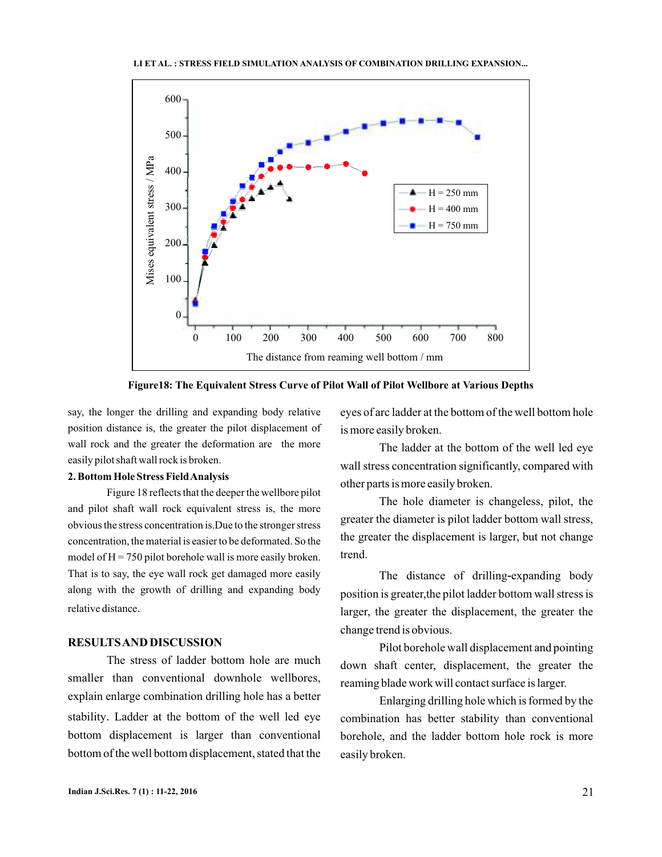

**Figure18: The Equivalent Stress Curve of Pilot Wall of Pilot Wellbore at Various Depths**

say, the longer the drilling and expanding body relative position distance is, the greater the pilot displacement of wall rock and the greater the deformation are the more easily pilot shaft wall rock is broken.

#### **2. Bottom Hole Stress FieldAnalysis**

Figure 18 reflects that the deeper the wellbore pilot and pilot shaft wall rock equivalent stress is, the more obvious the stress concentration is.Due to the stronger stress concentration, the material is easier to be deformated. So the model of  $H = 750$  pilot borehole wall is more easily broken. That is to say, the eye wall rock get damaged more easily along with the growth of drilling and expanding body relative distance .

## **RESULTSAND DISCUSSION**

The stress of ladder bottom hole are much smaller than conventional downhole wellbores, explain enlarge combination drilling hole has a better stability. Ladder at the bottom of the well led eye bottom displacement is larger than conventional bottom of the well bottom displacement, stated that the

eyes of arc ladder at the bottom of the well bottom hole is more easily broken.

The ladder at the bottom of the well led eye wall stress concentration significantly, compared with other parts is more easily broken.

The hole diameter is changeless, pilot, the greater the diameter is pilot ladder bottom wall stress, the greater the displacement is larger, but not change trend.

The distance of drilling-expanding body position is greater,the pilot ladder bottom wall stress is larger, the greater the displacement, the greater the change trend is obvious.

Pilot borehole wall displacement and pointing down shaft center, displacement, the greater the reaming blade work will contact surface is larger.

Enlarging drilling hole which is formed by the combination has better stability than conventional borehole, and the ladder bottom hole rock is more easily broken.